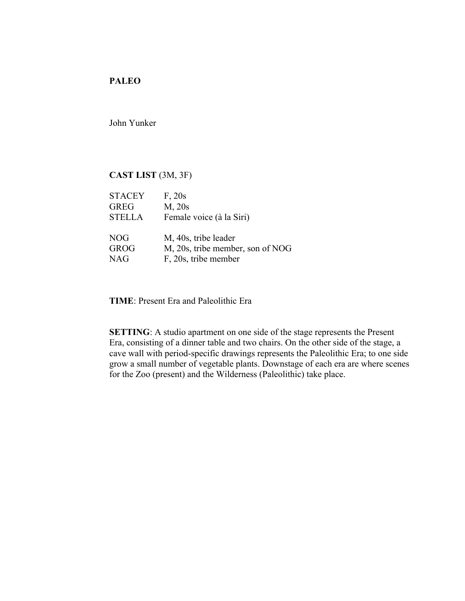# **PALEO**

John Yunker

# **CAST LIST** (3M, 3F)

| <b>STACEY</b> | F, 20s                           |
|---------------|----------------------------------|
| <b>GREG</b>   | M, 20s                           |
| <b>STELLA</b> | Female voice (à la Siri)         |
| NOG           | M, 40s, tribe leader             |
| <b>GROG</b>   | M, 20s, tribe member, son of NOG |
| <b>NAG</b>    | F, 20s, tribe member             |

**TIME**: Present Era and Paleolithic Era

**SETTING**: A studio apartment on one side of the stage represents the Present Era, consisting of a dinner table and two chairs. On the other side of the stage, a cave wall with period-specific drawings represents the Paleolithic Era; to one side grow a small number of vegetable plants. Downstage of each era are where scenes for the Zoo (present) and the Wilderness (Paleolithic) take place.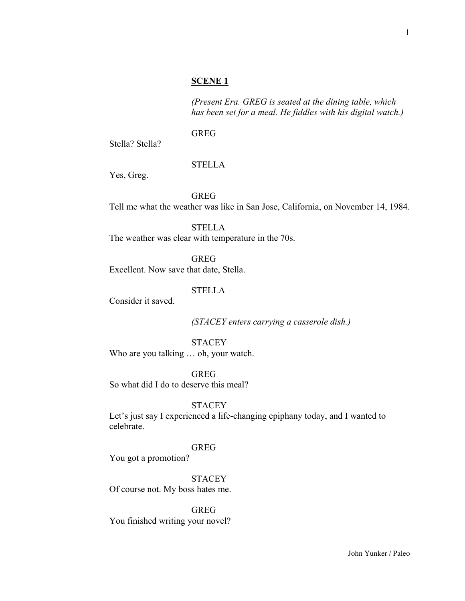## **SCENE 1**

*(Present Era. GREG is seated at the dining table, which has been set for a meal. He fiddles with his digital watch.)*

GREG

Stella? Stella?

## **STELLA**

Yes, Greg.

GREG

Tell me what the weather was like in San Jose, California, on November 14, 1984.

STELLA The weather was clear with temperature in the 70s.

GREG Excellent. Now save that date, Stella.

## **STELLA**

Consider it saved.

*(STACEY enters carrying a casserole dish.)*

**STACEY** 

Who are you talking … oh, your watch.

GREG So what did I do to deserve this meal?

# **STACEY**

Let's just say I experienced a life-changing epiphany today, and I wanted to celebrate.

### GREG

You got a promotion?

**STACEY** Of course not. My boss hates me.

GREG You finished writing your novel?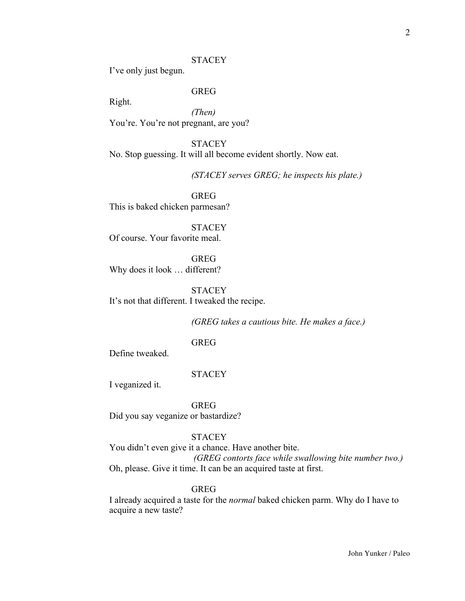I've only just begun.

## GREG

Right.

*(Then)* You're. You're not pregnant, are you?

**STACEY** No. Stop guessing. It will all become evident shortly. Now eat.

*(STACEY serves GREG; he inspects his plate.)*

GREG This is baked chicken parmesan?

**STACEY** Of course. Your favorite meal.

GREG Why does it look … different?

**STACEY** It's not that different. I tweaked the recipe.

*(GREG takes a cautious bite. He makes a face.)*

GREG

Define tweaked.

#### **STACEY**

I veganized it.

GREG Did you say veganize or bastardize?

## **STACEY**

You didn't even give it a chance. Have another bite. *(GREG contorts face while swallowing bite number two.)* Oh, please. Give it time. It can be an acquired taste at first.

### GREG

I already acquired a taste for the *normal* baked chicken parm. Why do I have to acquire a new taste?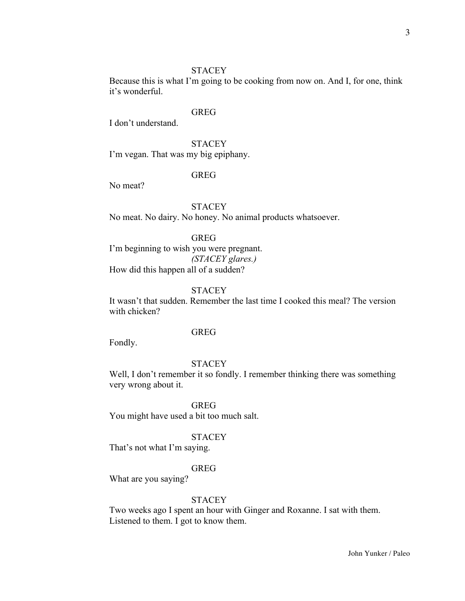Because this is what I'm going to be cooking from now on. And I, for one, think it's wonderful.

## GREG

I don't understand.

**STACEY** I'm vegan. That was my big epiphany.

# GREG

No meat?

## **STACEY**

No meat. No dairy. No honey. No animal products whatsoever.

# GREG

I'm beginning to wish you were pregnant. *(STACEY glares.)* How did this happen all of a sudden?

## **STACEY**

It wasn't that sudden. Remember the last time I cooked this meal? The version with chicken?

### GREG

Fondly.

# **STACEY**

Well, I don't remember it so fondly. I remember thinking there was something very wrong about it.

GREG

You might have used a bit too much salt.

### **STACEY**

That's not what I'm saying.

# GREG

What are you saying?

# **STACEY**

Two weeks ago I spent an hour with Ginger and Roxanne. I sat with them. Listened to them. I got to know them.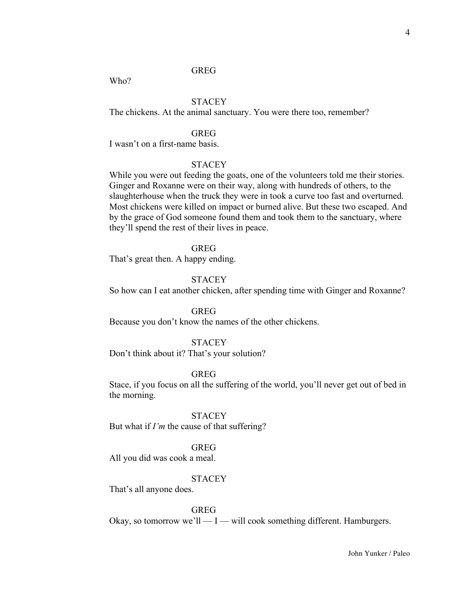## **GREG**

Who?

# **STACEY**

The chickens. At the animal sanctuary. You were there too, remember?

### GREG

I wasn't on a first-name basis.

## **STACEY**

While you were out feeding the goats, one of the volunteers told me their stories. Ginger and Roxanne were on their way, along with hundreds of others, to the slaughterhouse when the truck they were in took a curve too fast and overturned. Most chickens were killed on impact or burned alive. But these two escaped. And by the grace of God someone found them and took them to the sanctuary, where they'll spend the rest of their lives in peace.

#### GREG

That's great then. A happy ending.

# **STACEY**

So how can I eat another chicken, after spending time with Ginger and Roxanne?

## GREG

Because you don't know the names of the other chickens.

## **STACEY**

Don't think about it? That's your solution?

#### GREG

Stace, if you focus on all the suffering of the world, you'll never get out of bed in the morning.

## **STACEY**

But what if *I'm* the cause of that suffering?

### GREG

All you did was cook a meal.

### **STACEY**

That's all anyone does.

# GREG

Okay, so tomorrow we'll — I — will cook something different. Hamburgers.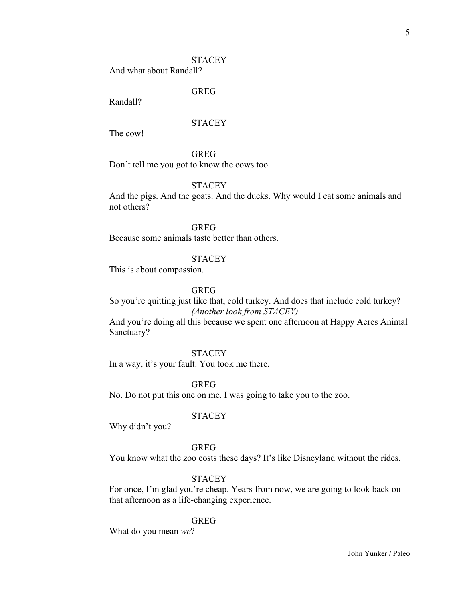And what about Randall?

# GREG

Randall?

## **STACEY**

The cow!

## GREG

Don't tell me you got to know the cows too.

### **STACEY**

And the pigs. And the goats. And the ducks. Why would I eat some animals and not others?

GREG Because some animals taste better than others.

## **STACEY**

This is about compassion.

## GREG

So you're quitting just like that, cold turkey. And does that include cold turkey? *(Another look from STACEY)*

And you're doing all this because we spent one afternoon at Happy Acres Animal Sanctuary?

## **STACEY**

In a way, it's your fault. You took me there.

GREG

No. Do not put this one on me. I was going to take you to the zoo.

### **STACEY**

Why didn't you?

### GREG

You know what the zoo costs these days? It's like Disneyland without the rides.

### **STACEY**

For once, I'm glad you're cheap. Years from now, we are going to look back on that afternoon as a life-changing experience.

### GREG

What do you mean *we*?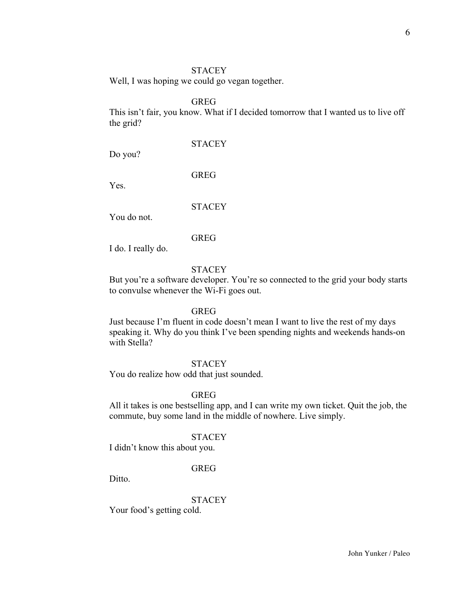Well, I was hoping we could go vegan together.

# GREG

This isn't fair, you know. What if I decided tomorrow that I wanted us to live off the grid?

**STACEY** 

Do you?

GREG

Yes.

**STACEY** 

You do not.

GREG

I do. I really do.

## **STACEY**

But you're a software developer. You're so connected to the grid your body starts to convulse whenever the Wi-Fi goes out.

## GREG

Just because I'm fluent in code doesn't mean I want to live the rest of my days speaking it. Why do you think I've been spending nights and weekends hands-on with Stella?

# **STACEY**

You do realize how odd that just sounded.

### GREG

All it takes is one bestselling app, and I can write my own ticket. Quit the job, the commute, buy some land in the middle of nowhere. Live simply.

#### **STACEY**

I didn't know this about you.

# GREG

Ditto.

#### **STACEY**

Your food's getting cold.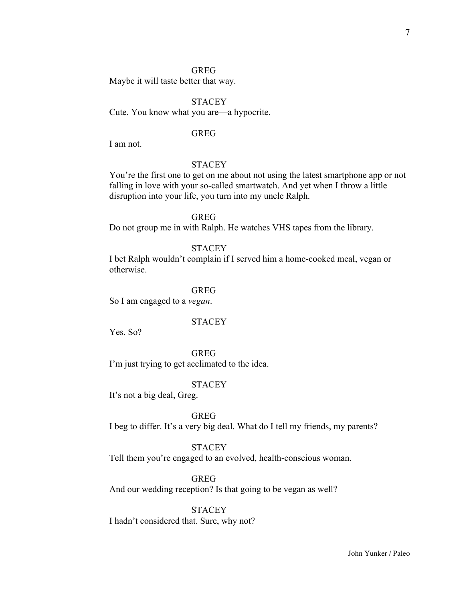## GREG

Maybe it will taste better that way.

# **STACEY**

Cute. You know what you are—a hypocrite.

## GREG

I am not.

## **STACEY**

You're the first one to get on me about not using the latest smartphone app or not falling in love with your so-called smartwatch. And yet when I throw a little disruption into your life, you turn into my uncle Ralph.

# GREG

Do not group me in with Ralph. He watches VHS tapes from the library.

### **STACEY**

I bet Ralph wouldn't complain if I served him a home-cooked meal, vegan or otherwise.

### GREG

So I am engaged to a *vegan*.

### **STACEY**

Yes. So?

GREG I'm just trying to get acclimated to the idea.

### **STACEY**

It's not a big deal, Greg.

### GREG

I beg to differ. It's a very big deal. What do I tell my friends, my parents?

### **STACEY**

Tell them you're engaged to an evolved, health-conscious woman.

### GREG

And our wedding reception? Is that going to be vegan as well?

## **STACEY**

I hadn't considered that. Sure, why not?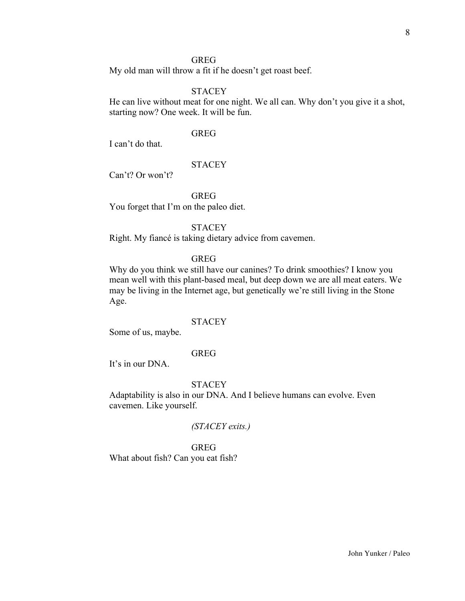### GREG

My old man will throw a fit if he doesn't get roast beef.

## **STACEY**

He can live without meat for one night. We all can. Why don't you give it a shot, starting now? One week. It will be fun.

### GREG

I can't do that.

## **STACEY**

Can't? Or won't?

GREG

You forget that I'm on the paleo diet.

# **STACEY**

Right. My fiancé is taking dietary advice from cavemen.

# GREG

Why do you think we still have our canines? To drink smoothies? I know you mean well with this plant-based meal, but deep down we are all meat eaters. We may be living in the Internet age, but genetically we're still living in the Stone Age.

# **STACEY**

Some of us, maybe.

## GREG

It's in our DNA.

# **STACEY**

Adaptability is also in our DNA. And I believe humans can evolve. Even cavemen. Like yourself.

## *(STACEY exits.)*

### GREG

What about fish? Can you eat fish?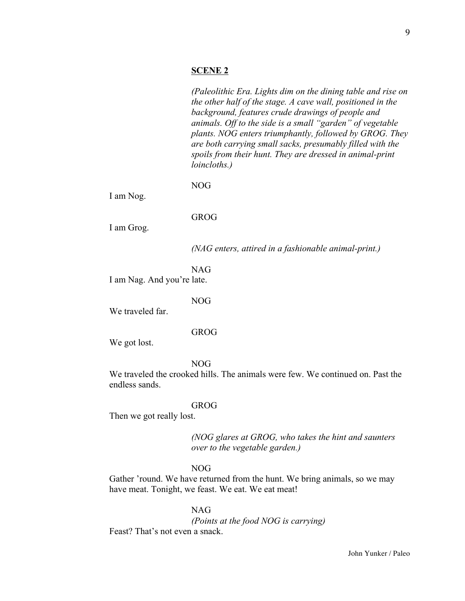## **SCENE 2**

*(Paleolithic Era. Lights dim on the dining table and rise on the other half of the stage. A cave wall, positioned in the background, features crude drawings of people and animals. Off to the side is a small "garden" of vegetable plants. NOG enters triumphantly, followed by GROG. They are both carrying small sacks, presumably filled with the spoils from their hunt. They are dressed in animal-print loincloths.)* 

NOG

I am Nog.

### GROG

I am Grog.

*(NAG enters, attired in a fashionable animal-print.)*

NAG

I am Nag. And you're late.

NOG

We traveled far.

### GROG

We got lost.

NOG

We traveled the crooked hills. The animals were few. We continued on. Past the endless sands.

### GROG

Then we got really lost.

*(NOG glares at GROG, who takes the hint and saunters over to the vegetable garden.)* 

# NOG

Gather 'round. We have returned from the hunt. We bring animals, so we may have meat. Tonight, we feast. We eat. We eat meat!

NAG *(Points at the food NOG is carrying)* Feast? That's not even a snack.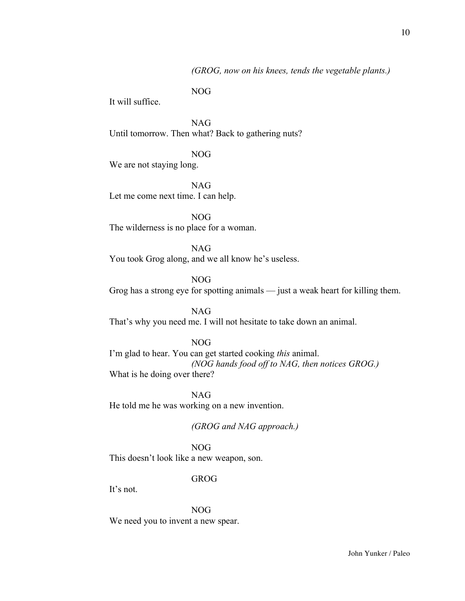## *(GROG, now on his knees, tends the vegetable plants.)*

NOG

It will suffice.

NAG Until tomorrow. Then what? Back to gathering nuts?

NOG

We are not staying long.

NAG Let me come next time. I can help.

NOG The wilderness is no place for a woman.

NAG You took Grog along, and we all know he's useless.

NOG Grog has a strong eye for spotting animals — just a weak heart for killing them.

NAG That's why you need me. I will not hesitate to take down an animal.

NOG

I'm glad to hear. You can get started cooking *this* animal. *(NOG hands food off to NAG, then notices GROG.)*  What is he doing over there?

NAG He told me he was working on a new invention.

*(GROG and NAG approach.)*

NOG

This doesn't look like a new weapon, son.

GROG

It's not.

NOG We need you to invent a new spear.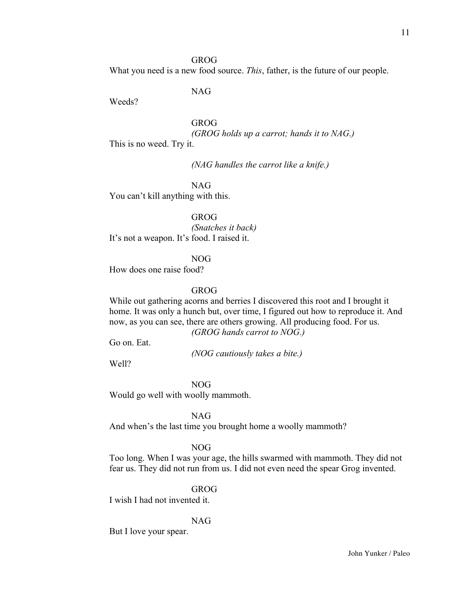## GROG

What you need is a new food source. *This*, father, is the future of our people.

NAG

Weeds?

GROG *(GROG holds up a carrot; hands it to NAG.)*

This is no weed. Try it.

*(NAG handles the carrot like a knife.)*

NAG You can't kill anything with this.

GROG *(Snatches it back)* It's not a weapon. It's food. I raised it.

NOG

How does one raise food?

GROG

While out gathering acorns and berries I discovered this root and I brought it home. It was only a hunch but, over time, I figured out how to reproduce it. And now, as you can see, there are others growing. All producing food. For us. *(GROG hands carrot to NOG.)*

Go on. Eat.

*(NOG cautiously takes a bite.)*

Well?

NOG

Would go well with woolly mammoth.

NAG

And when's the last time you brought home a woolly mammoth?

### NOG

Too long. When I was your age, the hills swarmed with mammoth. They did not fear us. They did not run from us. I did not even need the spear Grog invented.

GROG

I wish I had not invented it.

NAG

But I love your spear.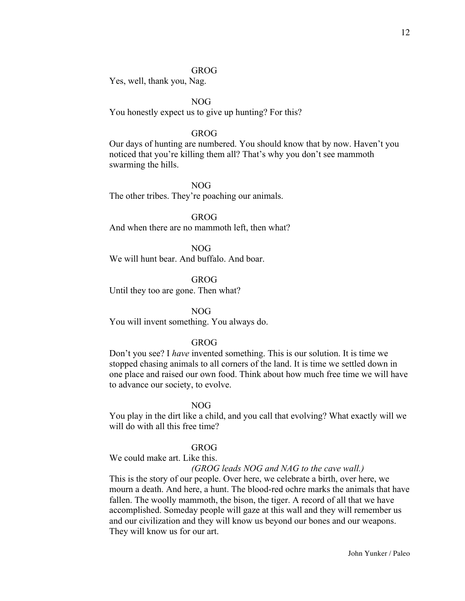### GROG

Yes, well, thank you, Nag.

NOG

You honestly expect us to give up hunting? For this?

## GROG

Our days of hunting are numbered. You should know that by now. Haven't you noticed that you're killing them all? That's why you don't see mammoth swarming the hills.

NOG

The other tribes. They're poaching our animals.

GROG And when there are no mammoth left, then what?

NOG We will hunt bear. And buffalo. And boar.

GROG Until they too are gone. Then what?

NOG

You will invent something. You always do.

## GROG

Don't you see? I *have* invented something. This is our solution. It is time we stopped chasing animals to all corners of the land. It is time we settled down in one place and raised our own food. Think about how much free time we will have to advance our society, to evolve.

### NOG

You play in the dirt like a child, and you call that evolving? What exactly will we will do with all this free time?

## GROG

We could make art. Like this.

### *(GROG leads NOG and NAG to the cave wall.)*

This is the story of our people. Over here, we celebrate a birth, over here, we mourn a death. And here, a hunt. The blood-red ochre marks the animals that have fallen. The woolly mammoth, the bison, the tiger. A record of all that we have accomplished. Someday people will gaze at this wall and they will remember us and our civilization and they will know us beyond our bones and our weapons. They will know us for our art.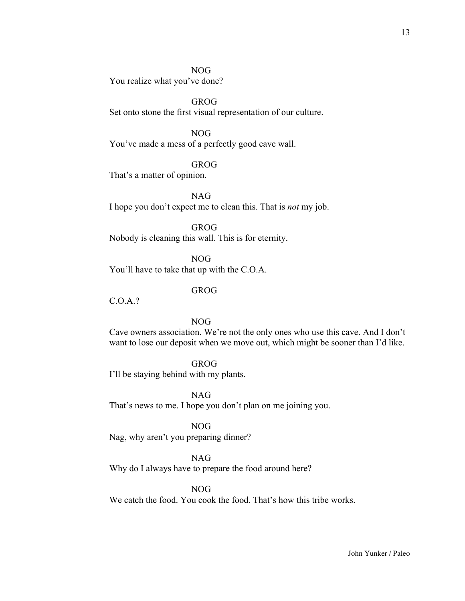NOG

You realize what you've done?

GROG Set onto stone the first visual representation of our culture.

NOG You've made a mess of a perfectly good cave wall.

GROG

That's a matter of opinion.

NAG I hope you don't expect me to clean this. That is *not* my job.

GROG Nobody is cleaning this wall. This is for eternity.

NOG

You'll have to take that up with the C.O.A.

GROG

C.O.A.?

NOG

Cave owners association. We're not the only ones who use this cave. And I don't want to lose our deposit when we move out, which might be sooner than I'd like.

GROG

I'll be staying behind with my plants.

NAG That's news to me. I hope you don't plan on me joining you.

NOG Nag, why aren't you preparing dinner?

NAG Why do I always have to prepare the food around here?

NOG We catch the food. You cook the food. That's how this tribe works.

John Yunker / Paleo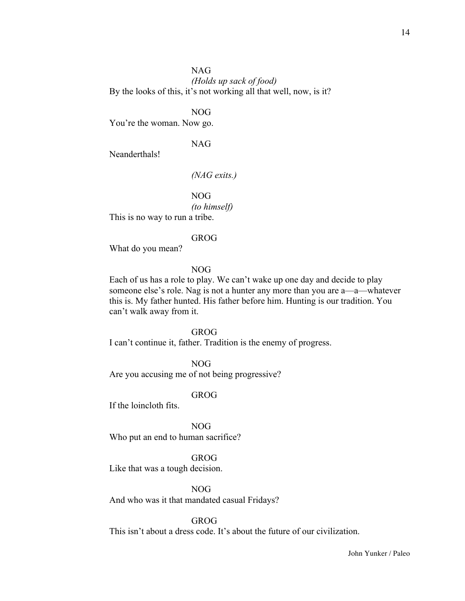NAG *(Holds up sack of food)* By the looks of this, it's not working all that well, now, is it?

NOG You're the woman. Now go.

NAG

Neanderthals!

*(NAG exits.)*

NOG *(to himself)*

This is no way to run a tribe.

# GROG

What do you mean?

## NOG

Each of us has a role to play. We can't wake up one day and decide to play someone else's role. Nag is not a hunter any more than you are a—a—whatever this is. My father hunted. His father before him. Hunting is our tradition. You can't walk away from it.

GROG

I can't continue it, father. Tradition is the enemy of progress.

NOG Are you accusing me of not being progressive?

GROG

If the loincloth fits.

NOG Who put an end to human sacrifice?

GROG

Like that was a tough decision.

NOG And who was it that mandated casual Fridays?

GROG

This isn't about a dress code. It's about the future of our civilization.